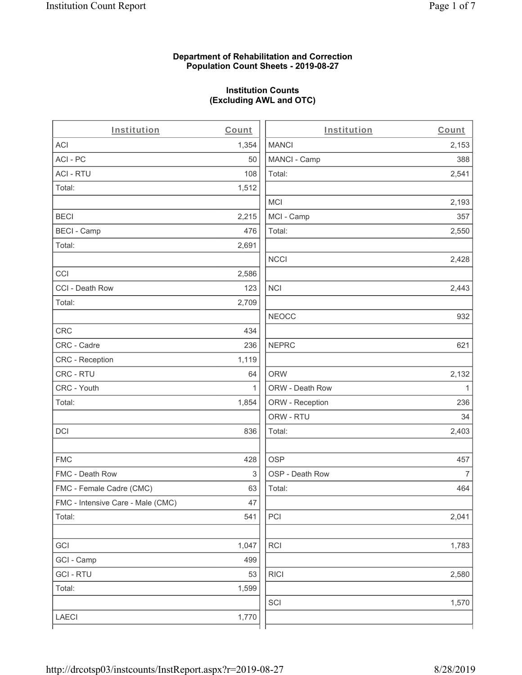#### **Department of Rehabilitation and Correction Population Count Sheets - 2019-08-27**

## **Institution Counts (Excluding AWL and OTC)**

. .

| Institution                       | Count | Institution     | Count        |
|-----------------------------------|-------|-----------------|--------------|
| <b>ACI</b>                        | 1,354 | <b>MANCI</b>    | 2,153        |
| ACI-PC                            | 50    | MANCI - Camp    | 388          |
| <b>ACI - RTU</b>                  | 108   | Total:          | 2,541        |
| Total:                            | 1,512 |                 |              |
|                                   |       | MCI             | 2,193        |
| <b>BECI</b>                       | 2,215 | MCI - Camp      | 357          |
| <b>BECI - Camp</b>                | 476   | Total:          | 2,550        |
| Total:                            | 2,691 |                 |              |
|                                   |       | <b>NCCI</b>     | 2,428        |
| CCI                               | 2,586 |                 |              |
| CCI - Death Row                   | 123   | <b>NCI</b>      | 2,443        |
| Total:                            | 2,709 |                 |              |
|                                   |       | <b>NEOCC</b>    | 932          |
| <b>CRC</b>                        | 434   |                 |              |
| CRC - Cadre                       | 236   | <b>NEPRC</b>    | 621          |
| <b>CRC</b> - Reception            | 1,119 |                 |              |
| CRC - RTU                         | 64    | <b>ORW</b>      | 2,132        |
| CRC - Youth                       | 1     | ORW - Death Row | $\mathbf{1}$ |
| Total:                            | 1,854 | ORW - Reception | 236          |
|                                   |       | ORW - RTU       | 34           |
| DCI                               | 836   | Total:          | 2,403        |
| <b>FMC</b>                        | 428   | <b>OSP</b>      | 457          |
| FMC - Death Row                   | 3     | OSP - Death Row | 7            |
| FMC - Female Cadre (CMC)          | 63    | Total:          | 464          |
| FMC - Intensive Care - Male (CMC) | 47    |                 |              |
| Total:                            | 541   | PCI             | 2,041        |
| GCI                               | 1,047 | <b>RCI</b>      | 1,783        |
| GCI - Camp                        | 499   |                 |              |
| <b>GCI-RTU</b>                    | 53    | <b>RICI</b>     | 2,580        |
| Total:                            | 1,599 |                 |              |
|                                   |       | SCI             | 1,570        |
| LAECI                             | 1,770 |                 |              |
|                                   |       |                 |              |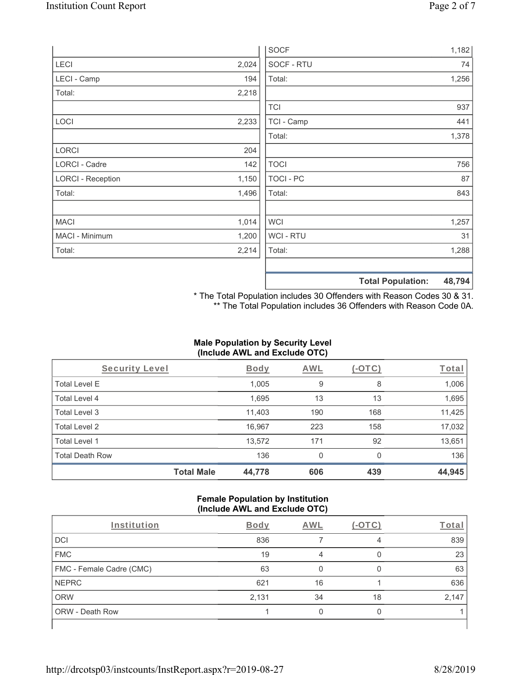|                          |       | <b>SOCF</b>    | 1,182                              |
|--------------------------|-------|----------------|------------------------------------|
| <b>LECI</b>              | 2,024 | SOCF - RTU     | 74                                 |
| LECI - Camp              | 194   | Total:         | 1,256                              |
| Total:                   | 2,218 |                |                                    |
|                          |       | <b>TCI</b>     | 937                                |
| LOCI                     | 2,233 | TCI - Camp     | 441                                |
|                          |       | Total:         | 1,378                              |
| LORCI                    | 204   |                |                                    |
| LORCI - Cadre            | 142   | <b>TOCI</b>    | 756                                |
| <b>LORCI - Reception</b> | 1,150 | TOCI - PC      | 87                                 |
| Total:                   | 1,496 | Total:         | 843                                |
| <b>MACI</b>              | 1,014 | WCI            | 1,257                              |
| MACI - Minimum           | 1,200 | <b>WCI-RTU</b> | 31                                 |
| Total:                   | 2,214 | Total:         | 1,288                              |
|                          |       |                | 48,794<br><b>Total Population:</b> |

\* The Total Population includes 30 Offenders with Reason Codes 30 & 31. \*\* The Total Population includes 36 Offenders with Reason Code 0A.

# **Male Population by Security Level (Include AWL and Exclude OTC)**

| Security Level         |                   | <b>Body</b> | AWL | (-OTC)   | Total  |
|------------------------|-------------------|-------------|-----|----------|--------|
| <b>Total Level E</b>   |                   | 1,005       | 9   | 8        | 1,006  |
| Total Level 4          |                   | 1,695       | 13  | 13       | 1,695  |
| Total Level 3          |                   | 11,403      | 190 | 168      | 11,425 |
| Total Level 2          |                   | 16,967      | 223 | 158      | 17,032 |
| Total Level 1          |                   | 13,572      | 171 | 92       | 13,651 |
| <b>Total Death Row</b> |                   | 136         | 0   | $\Omega$ | 136    |
|                        | <b>Total Male</b> | 44,778      | 606 | 439      | 44,945 |

#### **Female Population by Institution (Include AWL and Exclude OTC)**

| Institution              | <b>Body</b> | <b>AWL</b> | $-1$ | Total |
|--------------------------|-------------|------------|------|-------|
| <b>DCI</b>               | 836         |            | 4    | 839   |
| <b>FMC</b>               | 19          | 4          |      | 23    |
| FMC - Female Cadre (CMC) | 63          |            |      | 63    |
| <b>NEPRC</b>             | 621         | 16         |      | 636   |
| <b>ORW</b>               | 2,131       | 34         | 18   | 2,147 |
| <b>ORW - Death Row</b>   |             |            |      |       |
|                          |             |            |      |       |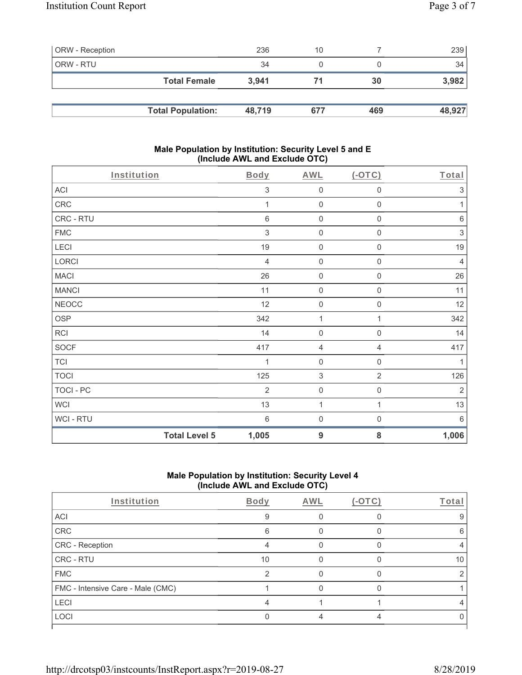| <b>ORW</b> - Reception |                          | 236    | 10  |     | 239    |
|------------------------|--------------------------|--------|-----|-----|--------|
| ORW - RTU              |                          | 34     |     |     | 34     |
|                        | <b>Total Female</b>      | 3.941  |     | 30  | 3,982  |
|                        |                          |        |     |     |        |
|                        | <b>Total Population:</b> | 48,719 | 677 | 469 | 48,927 |

#### **Male Population by Institution: Security Level 5 and E (Include AWL and Exclude OTC)**

| CRC<br>CRC - RTU   |                      | 1<br>$6\,$        | $\mathsf{O}\xspace$<br>$\mathsf{O}\xspace$ | $\mathsf{O}\xspace$<br>$\mathsf{O}\xspace$ | 1<br>$\,6\,$                    |
|--------------------|----------------------|-------------------|--------------------------------------------|--------------------------------------------|---------------------------------|
| <b>FMC</b><br>LECI |                      | $\,$ 3 $\,$<br>19 | $\mathsf{O}\xspace$<br>$\mathbf 0$         | $\mathsf{O}\xspace$<br>0                   | $\ensuremath{\mathsf{3}}$<br>19 |
| LORCI              |                      | $\overline{4}$    | $\mathsf{O}\xspace$                        | $\mathsf{O}\xspace$                        | $\overline{4}$                  |
| <b>MACI</b>        |                      | 26                | $\mathsf{O}\xspace$                        | $\mathsf{O}\xspace$                        | 26                              |
| <b>MANCI</b>       |                      | 11                | $\mathsf 0$                                | $\mathsf{O}\xspace$                        | 11                              |
| <b>NEOCC</b>       |                      | 12                | $\mathsf{O}\xspace$                        | $\mathsf{O}\xspace$                        | 12                              |
| <b>OSP</b>         |                      | 342               | 1                                          | 1                                          | 342                             |
| <b>RCI</b>         |                      | 14                | $\mathsf{O}\xspace$                        | $\boldsymbol{0}$                           | 14                              |
| <b>SOCF</b>        |                      | 417               | $\overline{4}$                             | 4                                          | 417                             |
| <b>TCI</b>         |                      |                   | $\mathsf{O}\xspace$                        | 0                                          | 1                               |
| <b>TOCI</b>        |                      | 125               | $\sqrt{3}$                                 | $\overline{2}$                             | 126                             |
| <b>TOCI - PC</b>   |                      | $\overline{2}$    | $\mathsf 0$                                | $\,0\,$                                    | $\sqrt{2}$                      |
| <b>WCI</b>         |                      | 13                | $\mathbf{1}$                               | 1                                          | 13                              |
| WCI - RTU          |                      | $6\,$             | $\mathbf 0$                                | $\boldsymbol{0}$                           | $6\,$                           |
|                    | <b>Total Level 5</b> | 1,005             | 9                                          | 8                                          | 1,006                           |

## **Male Population by Institution: Security Level 4 (Include AWL and Exclude OTC)**

| Institution                       | Body          | AWL | Total |
|-----------------------------------|---------------|-----|-------|
| ACI                               | 9             |     |       |
| CRC                               | 6             |     | 6     |
| CRC - Reception                   |               |     |       |
| CRC - RTU                         | 10            |     | 10    |
| <b>FMC</b>                        | $\mathcal{P}$ |     |       |
| FMC - Intensive Care - Male (CMC) |               |     |       |
| LECI                              |               |     |       |
| LOCI                              |               |     |       |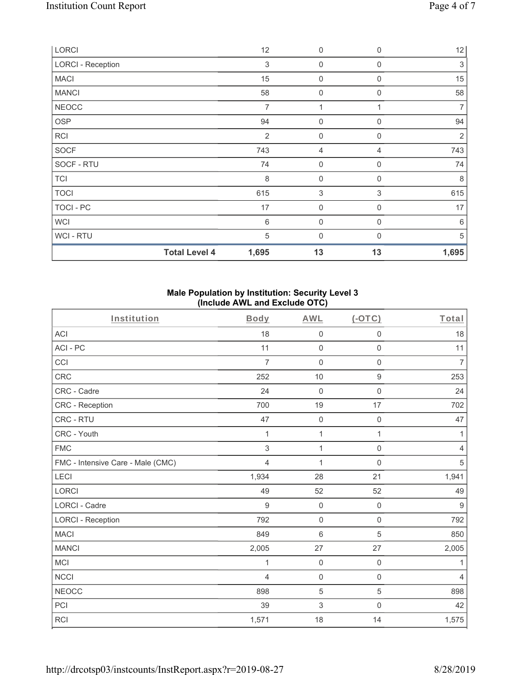| LORCI                    |                      | 12             | $\mathbf 0$         | $\mathbf 0$ | 12             |
|--------------------------|----------------------|----------------|---------------------|-------------|----------------|
| <b>LORCI - Reception</b> |                      | 3              | 0                   | $\Omega$    | $\sqrt{3}$     |
| <b>MACI</b>              |                      | 15             | 0                   | $\mathbf 0$ | 15             |
| <b>MANCI</b>             |                      | 58             | $\boldsymbol{0}$    | $\Omega$    | 58             |
| <b>NEOCC</b>             |                      | 7              |                     |             | $\overline{7}$ |
| OSP                      |                      | 94             | $\boldsymbol{0}$    | $\mathbf 0$ | 94             |
| <b>RCI</b>               |                      | $\overline{2}$ | 0                   | $\Omega$    | $\overline{2}$ |
| SOCF                     |                      | 743            | 4                   | 4           | 743            |
| SOCF - RTU               |                      | 74             | $\mathsf{O}\xspace$ | $\mathbf 0$ | 74             |
| <b>TCI</b>               |                      | 8              | $\boldsymbol{0}$    | $\mathbf 0$ | 8              |
| <b>TOCI</b>              |                      | 615            | 3                   | 3           | 615            |
| TOCI - PC                |                      | 17             | $\boldsymbol{0}$    | $\Omega$    | 17             |
| <b>WCI</b>               |                      | $\,6$          | 0                   | $\Omega$    | 6              |
| <b>WCI-RTU</b>           |                      | $\sqrt{5}$     | $\mathbf 0$         | $\Omega$    | 5              |
|                          | <b>Total Level 4</b> | 1,695          | 13                  | 13          | 1,695          |

#### **Male Population by Institution: Security Level 3 (Include AWL and Exclude OTC)**

| Institution                       | <b>Body</b>    | <b>AWL</b>          | (OTC)               | Total          |
|-----------------------------------|----------------|---------------------|---------------------|----------------|
| <b>ACI</b>                        | 18             | $\mathsf{O}\xspace$ | $\mathsf{O}\xspace$ | 18             |
| ACI-PC                            | 11             | $\mathbf 0$         | $\mathsf{O}\xspace$ | 11             |
| CCI                               | $\overline{7}$ | $\mathbf 0$         | $\mathsf 0$         | $\overline{7}$ |
| <b>CRC</b>                        | 252            | 10                  | $\boldsymbol{9}$    | 253            |
| CRC - Cadre                       | 24             | $\mathbf 0$         | $\mathsf 0$         | 24             |
| CRC - Reception                   | 700            | 19                  | 17                  | 702            |
| CRC - RTU                         | 47             | $\mathbf 0$         | $\mathsf{O}\xspace$ | 47             |
| CRC - Youth                       | 1              | 1                   | 1                   | 1              |
| <b>FMC</b>                        | 3              | $\mathbf{1}$        | $\mathbf 0$         | $\overline{4}$ |
| FMC - Intensive Care - Male (CMC) | $\overline{4}$ | 1                   | $\Omega$            | 5              |
| LECI                              | 1,934          | 28                  | 21                  | 1,941          |
| <b>LORCI</b>                      | 49             | 52                  | 52                  | 49             |
| <b>LORCI - Cadre</b>              | 9              | $\mathbf 0$         | $\mathbf 0$         | 9              |
| <b>LORCI - Reception</b>          | 792            | $\mathbf 0$         | $\mathsf{O}\xspace$ | 792            |
| <b>MACI</b>                       | 849            | $\,6\,$             | 5                   | 850            |
| <b>MANCI</b>                      | 2,005          | 27                  | 27                  | 2,005          |
| MCI                               | 1              | $\mathbf 0$         | $\mathsf{O}\xspace$ | $\mathbf{1}$   |
| <b>NCCI</b>                       | 4              | $\mathsf{O}\xspace$ | $\mathsf 0$         | 4              |
| <b>NEOCC</b>                      | 898            | 5                   | 5                   | 898            |
| PCI                               | 39             | $\mathfrak{S}$      | $\mathsf{O}\xspace$ | 42             |
| <b>RCI</b>                        | 1,571          | 18                  | 14                  | 1,575          |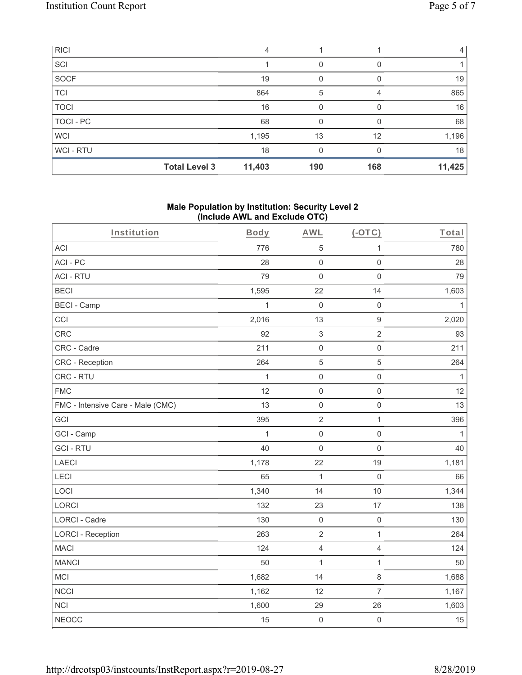| <b>RICI</b>      |                      | 4      |     |     |        |
|------------------|----------------------|--------|-----|-----|--------|
| SCI              |                      |        |     |     |        |
| SOCF             |                      | 19     |     |     | 19     |
| <b>TCI</b>       |                      | 864    | 5   | 4   | 865    |
| <b>TOCI</b>      |                      | 16     | O   |     | 16     |
| <b>TOCI - PC</b> |                      | 68     | 0   |     | 68     |
| <b>WCI</b>       |                      | 1,195  | 13  | 12  | 1,196  |
| <b>WCI-RTU</b>   |                      | 18     | O   |     | 18     |
|                  | <b>Total Level 3</b> | 11,403 | 190 | 168 | 11,425 |

#### **Male Population by Institution: Security Level 2 (Include AWL and Exclude OTC)**

| Institution                       | Body         | <b>AWL</b>          | $(-OTC)$            | Total        |
|-----------------------------------|--------------|---------------------|---------------------|--------------|
| <b>ACI</b>                        | 776          | $\mathbf 5$         | $\mathbf{1}$        | 780          |
| ACI-PC                            | 28           | $\mathsf{O}\xspace$ | $\mathsf 0$         | 28           |
| <b>ACI - RTU</b>                  | 79           | $\mathsf{O}\xspace$ | $\mathsf{O}\xspace$ | 79           |
| <b>BECI</b>                       | 1,595        | 22                  | 14                  | 1,603        |
| <b>BECI - Camp</b>                | 1            | $\mathbf 0$         | $\mathsf{O}\xspace$ | 1            |
| CCI                               | 2,016        | 13                  | $\boldsymbol{9}$    | 2,020        |
| <b>CRC</b>                        | 92           | $\sqrt{3}$          | $\overline{2}$      | 93           |
| CRC - Cadre                       | 211          | $\mathsf{O}\xspace$ | $\mathsf{O}\xspace$ | 211          |
| CRC - Reception                   | 264          | $\mathbf 5$         | 5                   | 264          |
| CRC - RTU                         | $\mathbf{1}$ | $\mathsf{O}\xspace$ | $\mathsf{O}\xspace$ | $\mathbf{1}$ |
| <b>FMC</b>                        | 12           | $\mathbf 0$         | $\mathsf{O}\xspace$ | 12           |
| FMC - Intensive Care - Male (CMC) | 13           | $\mathbf 0$         | $\mathsf{O}\xspace$ | 13           |
| GCI                               | 395          | $\sqrt{2}$          | $\mathbf{1}$        | 396          |
| GCI - Camp                        | 1            | $\mathbf 0$         | $\mathbf 0$         | 1            |
| <b>GCI-RTU</b>                    | 40           | $\mathbf 0$         | $\mathbf 0$         | 40           |
| <b>LAECI</b>                      | 1,178        | 22                  | 19                  | 1,181        |
| LECI                              | 65           | $\mathbf{1}$        | $\boldsymbol{0}$    | 66           |
| LOCI                              | 1,340        | 14                  | 10                  | 1,344        |
| LORCI                             | 132          | 23                  | 17                  | 138          |
| LORCI - Cadre                     | 130          | $\mathsf{O}\xspace$ | $\mathsf 0$         | 130          |
| <b>LORCI - Reception</b>          | 263          | $\sqrt{2}$          | $\mathbf{1}$        | 264          |
| <b>MACI</b>                       | 124          | $\sqrt{4}$          | $\overline{4}$      | 124          |
| <b>MANCI</b>                      | 50           | $\mathbf{1}$        | $\mathbf{1}$        | 50           |
| MCI                               | 1,682        | 14                  | $\,8\,$             | 1,688        |
| <b>NCCI</b>                       | 1,162        | 12                  | $\overline{7}$      | 1,167        |
| <b>NCI</b>                        | 1,600        | 29                  | 26                  | 1,603        |
| <b>NEOCC</b>                      | 15           | $\mathbf 0$         | $\mathsf{O}\xspace$ | 15           |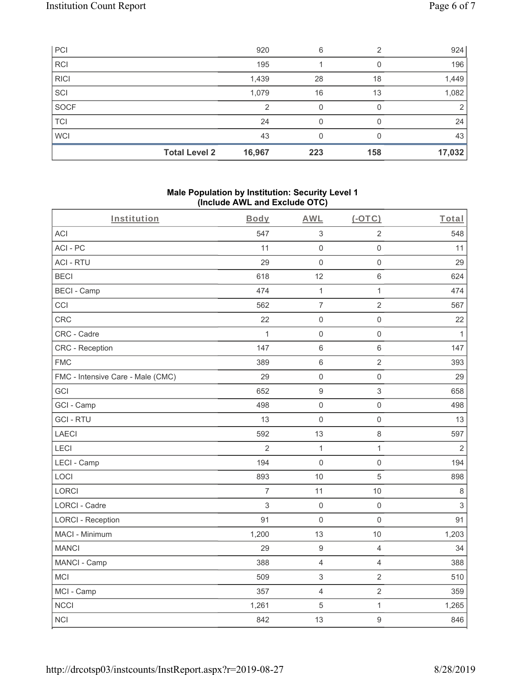| PCI         |                      | 920    | 6   | $\mathfrak{D}$ | 924    |
|-------------|----------------------|--------|-----|----------------|--------|
| RCI         |                      | 195    |     |                | 196    |
| <b>RICI</b> |                      | 1,439  | 28  | 18             | 1,449  |
| SCI         |                      | 1,079  | 16  | 13             | 1,082  |
| SOCF        |                      | っ      | 0   |                | 2      |
| TCI         |                      | 24     | 0   |                | 24     |
| <b>WCI</b>  |                      | 43     | 0   |                | 43     |
|             | <b>Total Level 2</b> | 16,967 | 223 | 158            | 17,032 |

### **Male Population by Institution: Security Level 1 (Include AWL and Exclude OTC)**

| Institution                       | <br>Body       | - 1<br><b>AWL</b>   | $(-OTC)$            | Total        |
|-----------------------------------|----------------|---------------------|---------------------|--------------|
| <b>ACI</b>                        | 547            | $\mathfrak{S}$      | $\overline{2}$      | 548          |
| ACI-PC                            | 11             | $\mathbf 0$         | $\mathsf{O}\xspace$ | 11           |
| <b>ACI - RTU</b>                  | 29             | $\mathbf 0$         | $\mathsf 0$         | 29           |
| <b>BECI</b>                       | 618            | 12                  | 6                   | 624          |
| <b>BECI - Camp</b>                | 474            | $\mathbf{1}$        | $\mathbf{1}$        | 474          |
| CCI                               | 562            | $\overline{7}$      | $\sqrt{2}$          | 567          |
| <b>CRC</b>                        | 22             | $\mathbf 0$         | $\mathsf{O}\xspace$ | 22           |
| CRC - Cadre                       | $\mathbf{1}$   | $\mathbf 0$         | $\mathsf{O}\xspace$ | $\mathbf{1}$ |
| <b>CRC</b> - Reception            | 147            | $\,6\,$             | $\,6\,$             | 147          |
| <b>FMC</b>                        | 389            | $\,6\,$             | $\overline{2}$      | 393          |
| FMC - Intensive Care - Male (CMC) | 29             | $\mathbf 0$         | $\mathsf{O}\xspace$ | 29           |
| GCI                               | 652            | $\boldsymbol{9}$    | 3                   | 658          |
| GCI - Camp                        | 498            | $\mathbf 0$         | $\mathsf 0$         | 498          |
| <b>GCI-RTU</b>                    | 13             | $\mathsf{O}\xspace$ | $\mathsf{O}\xspace$ | 13           |
| <b>LAECI</b>                      | 592            | 13                  | 8                   | 597          |
| LECI                              | $\overline{2}$ | $\mathbf{1}$        | $\mathbf{1}$        | 2            |
| LECI - Camp                       | 194            | $\mathbf 0$         | $\mathsf 0$         | 194          |
| LOCI                              | 893            | 10                  | $\sqrt{5}$          | 898          |
| <b>LORCI</b>                      | $\overline{7}$ | 11                  | 10                  | $\,8\,$      |
| LORCI - Cadre                     | $\sqrt{3}$     | $\mathbf 0$         | $\mathsf 0$         | $\sqrt{3}$   |
| <b>LORCI - Reception</b>          | 91             | $\mathbf 0$         | $\mathsf 0$         | 91           |
| MACI - Minimum                    | 1,200          | 13                  | 10                  | 1,203        |
| <b>MANCI</b>                      | 29             | $\boldsymbol{9}$    | $\overline{4}$      | 34           |
| MANCI - Camp                      | 388            | $\overline{4}$      | $\overline{4}$      | 388          |
| MCI                               | 509            | $\,$ 3 $\,$         | $\overline{c}$      | 510          |
| MCI - Camp                        | 357            | $\overline{4}$      | $\overline{c}$      | 359          |
| <b>NCCI</b>                       | 1,261          | $\,$ 5 $\,$         | $\mathbf{1}$        | 1,265        |
| <b>NCI</b>                        | 842            | 13                  | $\boldsymbol{9}$    | 846          |